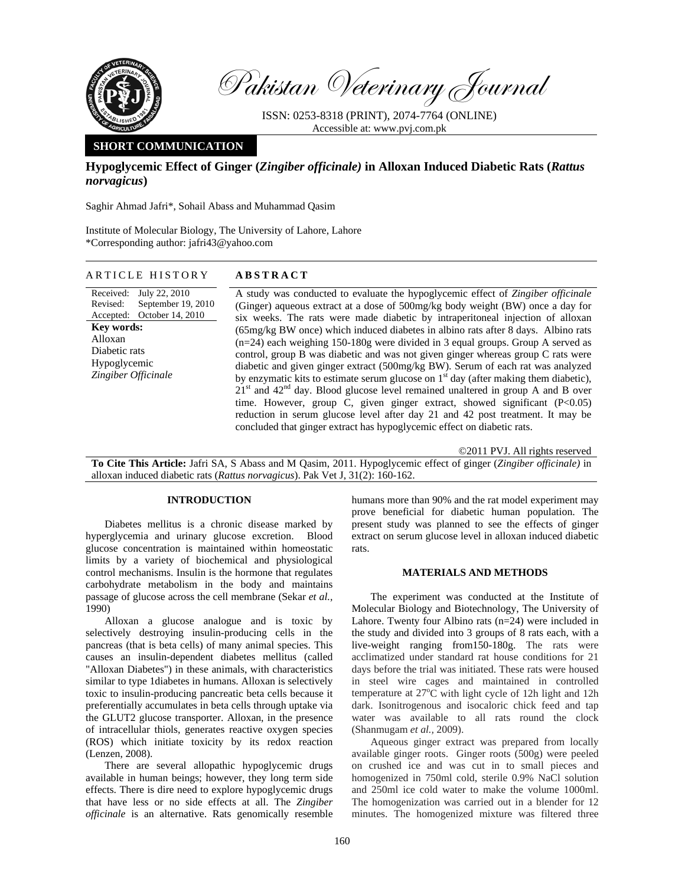

Pakistan Veterinary Journal

ISSN: 0253-8318 (PRINT), 2074-7764 (ONLINE) Accessible at: www.pvj.com.pk

# **SHORT COMMUNICATION**

**Hypoglycemic Effect of Ginger (***Zingiber officinale)* **in Alloxan Induced Diabetic Rats (***Rattus norvagicus***)**

Saghir Ahmad Jafri\*, Sohail Abass and Muhammad Qasim

Institute of Molecular Biology, The University of Lahore, Lahore \*Corresponding author: jafri43@yahoo.com

## ARTICLE HISTORY **ABSTRACT**

Received: Revised: Accepted: July 22, 2010 September 19, 2010 October 14, 2010 **Key words:**  Alloxan Diabetic rats Hypoglycemic *Zingiber Officinale* 

A study was conducted to evaluate the hypoglycemic effect of *Zingiber officinale* (Ginger) aqueous extract at a dose of 500mg/kg body weight (BW) once a day for six weeks. The rats were made diabetic by intraperitoneal injection of alloxan (65mg/kg BW once) which induced diabetes in albino rats after 8 days. Albino rats (n=24) each weighing 150-180g were divided in 3 equal groups. Group A served as control, group B was diabetic and was not given ginger whereas group C rats were diabetic and given ginger extract (500mg/kg BW). Serum of each rat was analyzed by enzymatic kits to estimate serum glucose on  $1<sup>st</sup>$  day (after making them diabetic),  $21<sup>st</sup>$  and  $42<sup>nd</sup>$  day. Blood glucose level remained unaltered in group A and B over time. However, group C, given ginger extract, showed significant (P<0.05) reduction in serum glucose level after day 21 and 42 post treatment. It may be concluded that ginger extract has hypoglycemic effect on diabetic rats.

©2011 PVJ. All rights reserved

**To Cite This Article:** Jafri SA, S Abass and M Qasim, 2011. Hypoglycemic effect of ginger (*Zingiber officinale)* in alloxan induced diabetic rats (*Rattus norvagicus*). Pak Vet J, 31(2): 160-162.

### **INTRODUCTION**

Diabetes mellitus is a chronic disease marked by hyperglycemia and urinary glucose excretion. Blood glucose concentration is maintained within homeostatic limits by a variety of biochemical and physiological control mechanisms. Insulin is the hormone that regulates carbohydrate metabolism in the body and maintains passage of glucose across the cell membrane (Sekar *et al.,*  1990)

Alloxan a glucose analogue and is toxic by selectively destroying insulin-producing cells in the pancreas (that is beta cells) of many animal species. This causes an insulin-dependent diabetes mellitus (called "Alloxan Diabetes") in these animals, with characteristics similar to type 1diabetes in humans. Alloxan is selectively toxic to insulin-producing pancreatic beta cells because it preferentially accumulates in beta cells through uptake via the GLUT2 glucose transporter. Alloxan, in the presence of intracellular thiols, generates reactive oxygen species (ROS) which initiate toxicity by its redox reaction (Lenzen, 2008).

There are several allopathic hypoglycemic drugs available in human beings; however, they long term side effects. There is dire need to explore hypoglycemic drugs that have less or no side effects at all. The *Zingiber officinale* is an alternative. Rats genomically resemble

humans more than 90% and the rat model experiment may prove beneficial for diabetic human population. The present study was planned to see the effects of ginger extract on serum glucose level in alloxan induced diabetic rats.

#### **MATERIALS AND METHODS**

The experiment was conducted at the Institute of Molecular Biology and Biotechnology, The University of Lahore. Twenty four Albino rats (n=24) were included in the study and divided into 3 groups of 8 rats each, with a live-weight ranging from150-180g. The rats were acclimatized under standard rat house conditions for 21 days before the trial was initiated. These rats were housed in steel wire cages and maintained in controlled temperature at  $27^{\circ}$ C with light cycle of 12h light and 12h dark. Isonitrogenous and isocaloric chick feed and tap water was available to all rats round the clock (Shanmugam *et al.,* 2009).

Aqueous ginger extract was prepared from locally available ginger roots. Ginger roots (500g) were peeled on crushed ice and was cut in to small pieces and homogenized in 750ml cold, sterile 0.9% NaCl solution and 250ml ice cold water to make the volume 1000ml. The homogenization was carried out in a blender for 12 minutes. The homogenized mixture was filtered three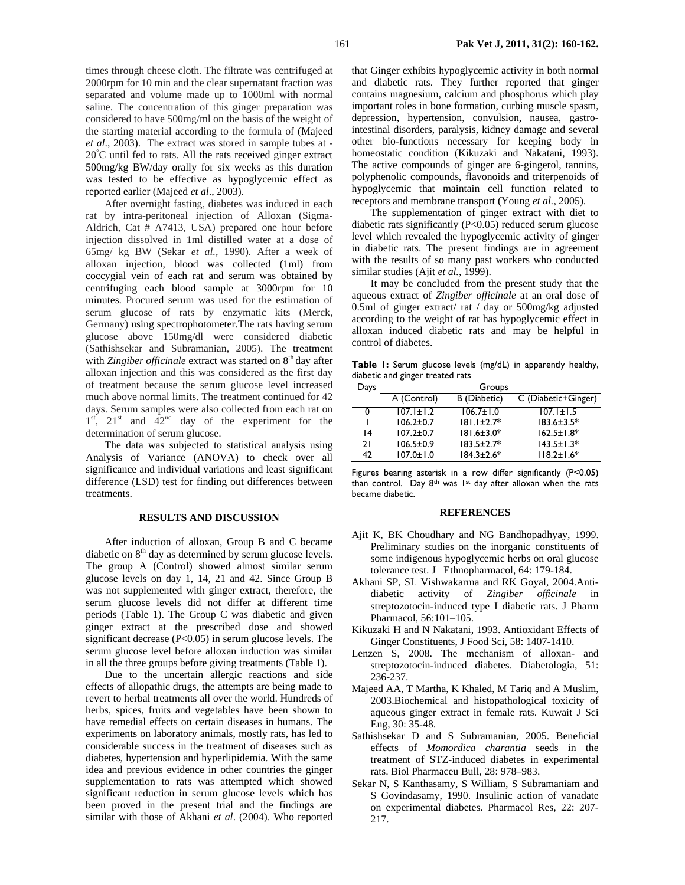times through cheese cloth. The filtrate was centrifuged at 2000rpm for 10 min and the clear supernatant fraction was separated and volume made up to 1000ml with normal saline. The concentration of this ginger preparation was considered to have 500mg/ml on the basis of the weight of the starting material according to the formula of (Majeed *et al*., 2003). The extract was stored in sample tubes at - 20° C until fed to rats. All the rats received ginger extract 500mg/kg BW/day orally for six weeks as this duration was tested to be effective as hypoglycemic effect as reported earlier (Majeed *et al*., 2003).

After overnight fasting, diabetes was induced in each rat by intra-peritoneal injection of Alloxan (Sigma-Aldrich, Cat # A7413, USA) prepared one hour before injection dissolved in 1ml distilled water at a dose of 65mg/ kg BW (Sekar *et al.,* 1990). After a week of alloxan injection, blood was collected (1ml) from coccygial vein of each rat and serum was obtained by centrifuging each blood sample at 3000rpm for 10 minutes. Procured serum was used for the estimation of serum glucose of rats by enzymatic kits (Merck, Germany) using spectrophotometer.The rats having serum glucose above 150mg/dl were considered diabetic (Sathishsekar and Subramanian, 2005). The treatment with *Zingiber officinale* extract was started on 8<sup>th</sup> day after alloxan injection and this was considered as the first day of treatment because the serum glucose level increased much above normal limits. The treatment continued for 42 days. Serum samples were also collected from each rat on  $1<sup>st</sup>$ ,  $21<sup>st</sup>$  and  $42<sup>nd</sup>$  day of the experiment for the determination of serum glucose.

The data was subjected to statistical analysis using Analysis of Variance (ANOVA) to check over all significance and individual variations and least significant difference (LSD) test for finding out differences between treatments.

# **RESULTS AND DISCUSSION**

After induction of alloxan, Group B and C became diabetic on  $8<sup>th</sup>$  day as determined by serum glucose levels. The group A (Control) showed almost similar serum glucose levels on day 1, 14, 21 and 42. Since Group B was not supplemented with ginger extract, therefore, the serum glucose levels did not differ at different time periods (Table 1). The Group C was diabetic and given ginger extract at the prescribed dose and showed significant decrease (P<0.05) in serum glucose levels. The serum glucose level before alloxan induction was similar in all the three groups before giving treatments (Table 1).

Due to the uncertain allergic reactions and side effects of allopathic drugs, the attempts are being made to revert to herbal treatments all over the world. Hundreds of herbs, spices, fruits and vegetables have been shown to have remedial effects on certain diseases in humans. The experiments on laboratory animals, mostly rats, has led to considerable success in the treatment of diseases such as diabetes, hypertension and hyperlipidemia. With the same idea and previous evidence in other countries the ginger supplementation to rats was attempted which showed significant reduction in serum glucose levels which has been proved in the present trial and the findings are similar with those of Akhani *et al*. (2004). Who reported that Ginger exhibits hypoglycemic activity in both normal and diabetic rats. They further reported that ginger contains magnesium, calcium and phosphorus which play important roles in bone formation, curbing muscle spasm, depression, hypertension, convulsion, nausea, gastrointestinal disorders, paralysis, kidney damage and several other bio-functions necessary for keeping body in homeostatic condition (Kikuzaki and Nakatani, 1993). The active compounds of ginger are 6-gingerol, tannins, polyphenolic compounds, flavonoids and triterpenoids of hypoglycemic that maintain cell function related to receptors and membrane transport (Young *et al.,* 2005).

The supplementation of ginger extract with diet to diabetic rats significantly (P<0.05) reduced serum glucose level which revealed the hypoglycemic activity of ginger in diabetic rats. The present findings are in agreement with the results of so many past workers who conducted similar studies (Ajit *et al.,* 1999).

It may be concluded from the present study that the aqueous extract of *Zingiber officinale* at an oral dose of 0.5ml of ginger extract/ rat / day or 500mg/kg adjusted according to the weight of rat has hypoglycemic effect in alloxan induced diabetic rats and may be helpful in control of diabetes.

**Table 1:** Serum glucose levels (mg/dL) in apparently healthy, diabetic and ginger treated rats

| Days | Groups          |                  |                     |
|------|-----------------|------------------|---------------------|
|      | A (Control)     | B (Diabetic)     | C (Diabetic+Ginger) |
| 0    | $107.1 \pm 1.2$ | $106.7 \pm 1.0$  | $107.1 \pm 1.5$     |
|      | $106.2 \pm 0.7$ | $181.1 \pm 2.7*$ | $183.6 \pm 3.5*$    |
| 14   | $107.2 \pm 0.7$ | $181.6 \pm 3.0*$ | $162.5 \pm 1.8^*$   |
| 21   | $106.5 \pm 0.9$ | $183.5 \pm 2.7*$ | $143.5 \pm 1.3*$    |
| 47   | $107.0 \pm 1.0$ | $184.3 \pm 2.6*$ | $118.2 \pm 1.6*$    |
|      |                 |                  |                     |

Figures bearing asterisk in a row differ significantly (P<0.05) than control. Day  $8<sup>th</sup>$  was 1<sup>st</sup> day after alloxan when the rats became diabetic.

#### **REFERENCES**

- Ajit K, BK Choudhary and NG Bandhopadhyay, 1999. Preliminary studies on the inorganic constituents of some indigenous hypoglycemic herbs on oral glucose tolerance test. J Ethnopharmacol, 64: 179-184.
- Akhani SP, SL Vishwakarma and RK Goyal, 2004.Antidiabetic activity of *Zingiber officinale* in streptozotocin-induced type I diabetic rats. J Pharm Pharmacol, 56:101–105.
- Kikuzaki H and N Nakatani, 1993. Antioxidant Effects of Ginger Constituents, J Food Sci, 58: 1407-1410.
- Lenzen S, 2008. The mechanism of alloxan- and streptozotocin-induced diabetes. Diabetologia, 51: 236-237.
- Majeed AA, T Martha, K Khaled, M Tariq and A Muslim, 2003.Biochemical and histopathological toxicity of aqueous ginger extract in female rats. Kuwait J Sci Eng, 30: 35-48.
- Sathishsekar D and S Subramanian, 2005. Beneficial effects of *Momordica charantia* seeds in the treatment of STZ-induced diabetes in experimental rats. Biol Pharmaceu Bull, 28: 978–983.
- Sekar N, S Kanthasamy, S William, S Subramaniam and S Govindasamy, 1990. Insulinic action of vanadate on experimental diabetes. Pharmacol Res, 22: 207- 217.